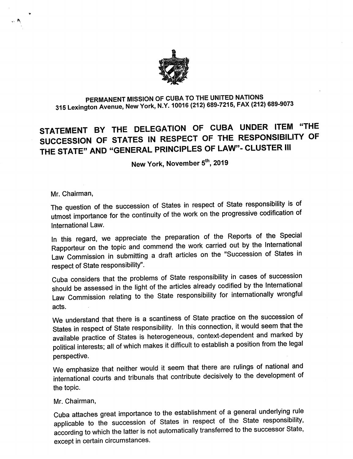

## PERMANENT MISSION OF CUBA TO THE UNITED NATIONS 315 Lexington Avenue, New York, N.Y. 10016 (212) 689-7215, FAX (212) 689-9073

## STATEMENT BY THE DELEGATION OF CUBA UNDER ITEM "THE SUCCESSION OF STATES IN RESPECT OF THE RESPONSIBILITY OF THE STATE" AND "GENERAL PRINCIPLES OF LAW"- CLUSTER III

New York, November 5<sup>th</sup>, 2019

## Mr. Chairman,

 $\mathbb{R}$ 

The question of the succession of States in respect of State responsibiiity is of utmost importance for the continuity of the work on the progressive codification of International Law.

In this regard, we appreciate the preparation of the Reports of the Special Rapporteur on the topic and commend the work carried out by the international Law Commission in submitting a draft articles on the "Succession of States in respect of State responsibility".

Cuba considers that the problems of State responsibility in cases of succession should be assessed in the light of the articles already codified by the International Law Commission relating to the State responsibility for internationally wrongful acts.

We understand that there is a scantiness of State practice on the succession of States in respect of State responsibility. In this connection, it would seem that the available practice of States is heterogeneous, context-dependent and marked by political interests: all of which makes it difficult to establish a position from the legal perspective.

We emphasize that neither would it seem that there are rulings of national and international courts and tribunals that contribute decisively to the development of the topic.

## Mr. Chairman,

Cuba attaches great importance to the establishment of a general underlying rule applicable to the succession of States in respect of the State responsibility, according to which the latter is not automatically transferred to the successor State, except in certain circumstances.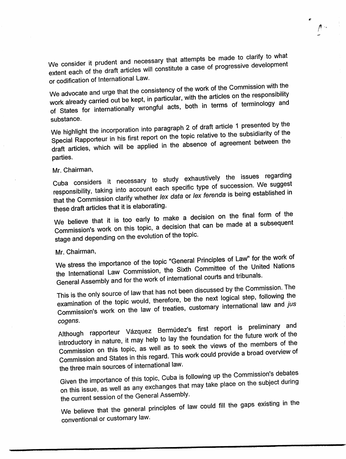We consider it prudent and necessary that attempts be made to clarify to what extent each of the draft articles will constitute a case of progressive development or codification of International Law.

À.

 $\mathcal{A}$ 

We advocate and urge that the consistency of the work of the Commission with the work already carried out be kept, in particular, with the articles on the responsibility of States for internationally wrongful acts, both in terms of terminology and substance.

We highlight the incorporation into paragraph 2 of draft article 1 presented by the Special Rapporteur in his first report on the topic relative to the subsidiarity of the draft articles, which will be applied in the absence of agreement between the parties.

Mr. Chairman,

Cuba considers it necessary to study exhaustively the issues regarding responsibility, taking into account each specific type of succession. We suggest that the Commission clarify whether lex data or lex ferenda is being established in these draft articles that it is elaborating.

We believe that it is too early to make a decision on the final form of the Commission's work on this topic, a decision that can be made at a subsequent stage and depending on the evolution of the topic.

Mr. Chairman,

We stress the importance of the topic "General Principles of Law" for the work of the International Law Commission, the Sixth Committee of the United Nations General Assembly and for the work of international courts and tribunals.

This is the only source of law that has not been discussed by the Commission. The examination of the topic would, therefore, be the next logical step, following the Commission's work on the law of treaties, customary international law and jus cogens.

Although rapporteur Vázquez Bermúdez's first report is preliminary and introductory in nature, it may help to lay the foundation for the future work of the Commission on this topic, as well as to seek the views of the members of the Commission and States in this regard. This work could provide a broad overview of the three main sources of international law.

Given the importance of this topic, Cuba is following up the Commission's debates on this issue, as well as any exchanges that may take place on the subject during the current session of the General Assembly.

We believe that the general principles of law could fill the gaps existing in the conventional or customary law.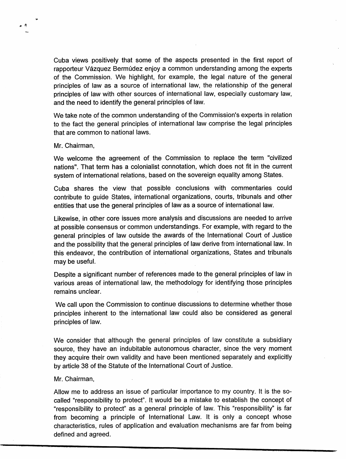Cuba views positively that some of the aspects presented in the first report of rapporteur Vázquez Bermúdez enjoy a common understanding among the experts of the Commission. We highlight, for example, the legal nature of the general principles of law as a source of international law, the relationship of the general principles of law with other sources of international law, especially customary law, and the need to identify the general principles of law.

We take note of the common understanding of the Commission's experts in relation to the fact the general principles of international law comprise the legal principles that are common to national laws.

Mr. Chairman,

大图

We welcome the agreement of the Commission to replace the term "civilized nations". That term has a colonialist connotation, which does not fit in the current system of international relations, based on the sovereign equality among States.

Cuba shares the view that possible conclusions with commentaries could contribute to guide States, international organizations, courts, tribunals and other entities that use the general principles of law as a source of international law.

Likewise, in other core issues more analysis and discussions are needed to arrive at possible consensus or common understandings. For example, with regard to the general principles of law outside the awards of the International Court of Justice and the possibility that the general principles of law derive from international law. In this endeavor, the contribution of international organizations. States and tribunals may be useful.

Despite a significant number of references made to the general principles of law in various areas of international law, the methodology for identifying those principles remains unclear.

We call upon the Commission to continue discussions to determine whether those principles inherent to the international law could also be considered as general principles of law.

We consider that although the general principles of law constitute a subsidiary source, they have an indubitable autonomous character, since the very moment they acquire their own validity and have been mentioned separately and explicitly by article 38 of the Statute of the International Court of Justice.

Mr. Chairman,

Allow me to address an issue of particular importance to my country. It is the socalled "responsibility to protect". It would be a mistake to establish the concept of "responsibility to protect" as a general principle of law. This "responsibility" is far from becoming a principle of International Law. It is only a concept whose characteristics, rules of application and evaluation mechanisms are far from being defined and agreed.